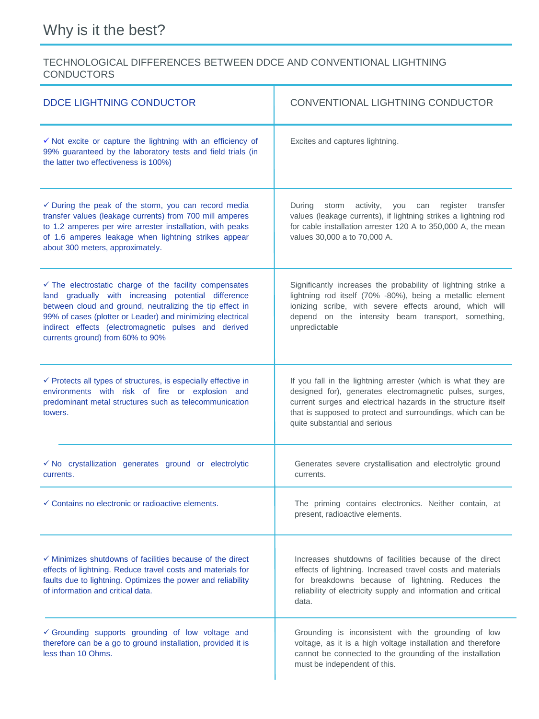## TECHNOLOGICAL DIFFERENCES BETWEEN DDCE AND CONVENTIONAL LIGHTNING **CONDUCTORS**

| <b>DDCE LIGHTNING CONDUCTOR</b>                                                                                                                                                                                                                                                                                                                | CONVENTIONAL LIGHTNING CONDUCTOR                                                                                                                                                                                                                                                          |
|------------------------------------------------------------------------------------------------------------------------------------------------------------------------------------------------------------------------------------------------------------------------------------------------------------------------------------------------|-------------------------------------------------------------------------------------------------------------------------------------------------------------------------------------------------------------------------------------------------------------------------------------------|
| $\checkmark$ Not excite or capture the lightning with an efficiency of<br>99% guaranteed by the laboratory tests and field trials (in<br>the latter two effectiveness is 100%)                                                                                                                                                                 | Excites and captures lightning.                                                                                                                                                                                                                                                           |
| $\checkmark$ During the peak of the storm, you can record media<br>transfer values (leakage currents) from 700 mill amperes<br>to 1.2 amperes per wire arrester installation, with peaks<br>of 1.6 amperes leakage when lightning strikes appear<br>about 300 meters, approximately.                                                           | During<br>activity,<br>register transfer<br>storm<br>you<br>can<br>values (leakage currents), if lightning strikes a lightning rod<br>for cable installation arrester 120 A to 350,000 A, the mean<br>values 30,000 a to 70,000 A.                                                        |
| $\checkmark$ The electrostatic charge of the facility compensates<br>land gradually with increasing potential difference<br>between cloud and ground, neutralizing the tip effect in<br>99% of cases (plotter or Leader) and minimizing electrical<br>indirect effects (electromagnetic pulses and derived<br>currents ground) from 60% to 90% | Significantly increases the probability of lightning strike a<br>lightning rod itself (70% -80%), being a metallic element<br>ionizing scribe, with severe effects around, which will<br>depend on the intensity beam transport, something,<br>unpredictable                              |
| $\checkmark$ Protects all types of structures, is especially effective in<br>environments with risk of fire or explosion and<br>predominant metal structures such as telecommunication<br>towers.                                                                                                                                              | If you fall in the lightning arrester (which is what they are<br>designed for), generates electromagnetic pulses, surges,<br>current surges and electrical hazards in the structure itself<br>that is supposed to protect and surroundings, which can be<br>quite substantial and serious |
| √ No crystallization generates ground or electrolytic<br>currents.                                                                                                                                                                                                                                                                             | Generates severe crystallisation and electrolytic ground<br>currents.                                                                                                                                                                                                                     |
| $\checkmark$ Contains no electronic or radioactive elements.                                                                                                                                                                                                                                                                                   | The priming contains electronics. Neither contain, at<br>present, radioactive elements.                                                                                                                                                                                                   |
| $\checkmark$ Minimizes shutdowns of facilities because of the direct<br>effects of lightning. Reduce travel costs and materials for<br>faults due to lightning. Optimizes the power and reliability<br>of information and critical data.                                                                                                       | Increases shutdowns of facilities because of the direct<br>effects of lightning. Increased travel costs and materials<br>for breakdowns because of lightning. Reduces the<br>reliability of electricity supply and information and critical<br>data.                                      |
| Grounding supports grounding of low voltage and<br>therefore can be a go to ground installation, provided it is<br>less than 10 Ohms.                                                                                                                                                                                                          | Grounding is inconsistent with the grounding of low<br>voltage, as it is a high voltage installation and therefore<br>cannot be connected to the grounding of the installation<br>must be independent of this.                                                                            |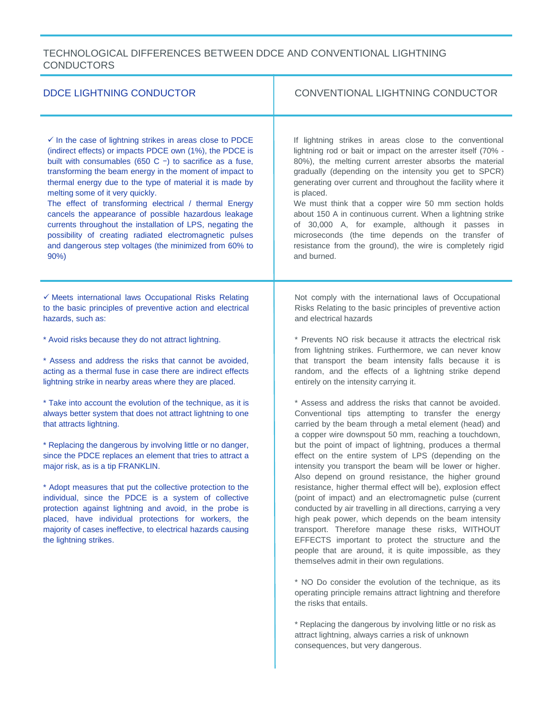## TECHNOLOGICAL DIFFERENCES BETWEEN DDCE AND CONVENTIONAL LIGHTNING **CONDUCTORS**

| <b>DDCE LIGHTNING CONDUCTOR</b>                                                                                                                                                                                                                                                                                                                                                                                                                                                                                                                                                                                                                                       | CONVENTIONAL LIGHTNING CONDUCTOR                                                                                                                                                                                                                                                                                                                                                                                                                                                                                                                                                                                                                                                                                                                                                                                                                                                                                                                |
|-----------------------------------------------------------------------------------------------------------------------------------------------------------------------------------------------------------------------------------------------------------------------------------------------------------------------------------------------------------------------------------------------------------------------------------------------------------------------------------------------------------------------------------------------------------------------------------------------------------------------------------------------------------------------|-------------------------------------------------------------------------------------------------------------------------------------------------------------------------------------------------------------------------------------------------------------------------------------------------------------------------------------------------------------------------------------------------------------------------------------------------------------------------------------------------------------------------------------------------------------------------------------------------------------------------------------------------------------------------------------------------------------------------------------------------------------------------------------------------------------------------------------------------------------------------------------------------------------------------------------------------|
| $\checkmark$ In the case of lightning strikes in areas close to PDCE<br>(indirect effects) or impacts PDCE own (1%), the PDCE is<br>built with consumables (650 C $-$ ) to sacrifice as a fuse,<br>transforming the beam energy in the moment of impact to<br>thermal energy due to the type of material it is made by<br>melting some of it very quickly.<br>The effect of transforming electrical / thermal Energy<br>cancels the appearance of possible hazardous leakage<br>currents throughout the installation of LPS, negating the<br>possibility of creating radiated electromagnetic pulses<br>and dangerous step voltages (the minimized from 60% to<br>90% | If lightning strikes in areas close to the conventional<br>lightning rod or bait or impact on the arrester itself (70% -<br>80%), the melting current arrester absorbs the material<br>gradually (depending on the intensity you get to SPCR)<br>generating over current and throughout the facility where it<br>is placed.<br>We must think that a copper wire 50 mm section holds<br>about 150 A in continuous current. When a lightning strike<br>of 30,000 A, for example, although it passes in<br>microseconds (the time depends on the transfer of<br>resistance from the ground), the wire is completely rigid<br>and burned.                                                                                                                                                                                                                                                                                                           |
| √ Meets international laws Occupational Risks Relating<br>to the basic principles of preventive action and electrical<br>hazards, such as:                                                                                                                                                                                                                                                                                                                                                                                                                                                                                                                            | Not comply with the international laws of Occupational<br>Risks Relating to the basic principles of preventive action<br>and electrical hazards                                                                                                                                                                                                                                                                                                                                                                                                                                                                                                                                                                                                                                                                                                                                                                                                 |
| * Avoid risks because they do not attract lightning.<br>* Assess and address the risks that cannot be avoided,<br>acting as a thermal fuse in case there are indirect effects<br>lightning strike in nearby areas where they are placed.                                                                                                                                                                                                                                                                                                                                                                                                                              | * Prevents NO risk because it attracts the electrical risk<br>from lightning strikes. Furthermore, we can never know<br>that transport the beam intensity falls because it is<br>random, and the effects of a lightning strike depend<br>entirely on the intensity carrying it.                                                                                                                                                                                                                                                                                                                                                                                                                                                                                                                                                                                                                                                                 |
| * Take into account the evolution of the technique, as it is<br>always better system that does not attract lightning to one<br>that attracts lightning.<br>* Replacing the dangerous by involving little or no danger,<br>since the PDCE replaces an element that tries to attract a<br>major risk, as is a tip FRANKLIN.<br>* Adopt measures that put the collective protection to the<br>individual, since the PDCE is a system of collective<br>protection against lightning and avoid, in the probe is<br>placed, have individual protections for workers, the<br>majority of cases ineffective, to electrical hazards causing<br>the lightning strikes.          | * Assess and address the risks that cannot be avoided.<br>Conventional tips attempting to transfer the energy<br>carried by the beam through a metal element (head) and<br>a copper wire downspout 50 mm, reaching a touchdown,<br>but the point of impact of lightning, produces a thermal<br>effect on the entire system of LPS (depending on the<br>intensity you transport the beam will be lower or higher.<br>Also depend on ground resistance, the higher ground<br>resistance, higher thermal effect will be), explosion effect<br>(point of impact) and an electromagnetic pulse (current<br>conducted by air travelling in all directions, carrying a very<br>high peak power, which depends on the beam intensity<br>transport. Therefore manage these risks, WITHOUT<br>EFFECTS important to protect the structure and the<br>people that are around, it is quite impossible, as they<br>themselves admit in their own regulations. |
|                                                                                                                                                                                                                                                                                                                                                                                                                                                                                                                                                                                                                                                                       | * NO Do consider the evolution of the technique, as its<br>operating principle remains attract lightning and therefore<br>the risks that entails.                                                                                                                                                                                                                                                                                                                                                                                                                                                                                                                                                                                                                                                                                                                                                                                               |
|                                                                                                                                                                                                                                                                                                                                                                                                                                                                                                                                                                                                                                                                       | * Replacing the dangerous by involving little or no risk as                                                                                                                                                                                                                                                                                                                                                                                                                                                                                                                                                                                                                                                                                                                                                                                                                                                                                     |

attract lightning, always carries a risk of unknown consequences, but very dangerous.